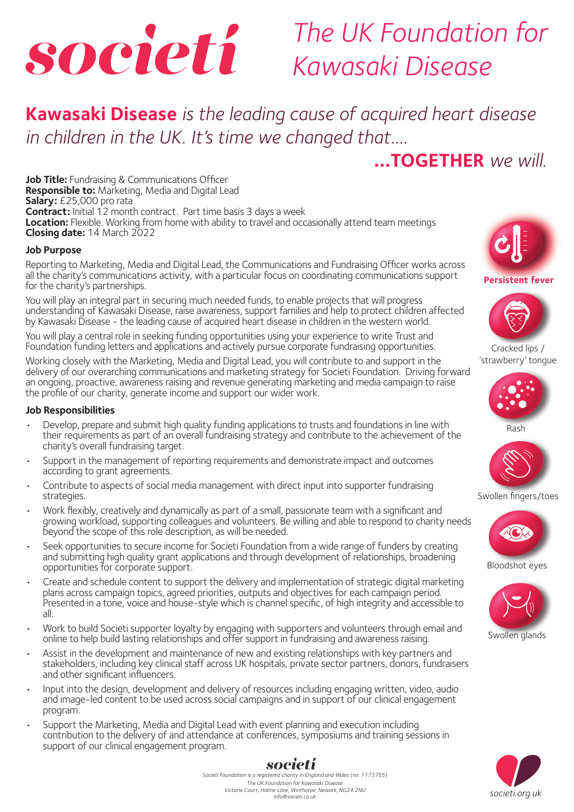

## *The UK Foundation for Kawasaki Disease*

**Kawasaki Disease** *is the leading cause of acquired heart disease in children in the UK. It's time we changed that....*

## **...TOGETHER** *we will.*

**Job Title:** Fundraising & Communications Officer **Responsible to:** Marketing, Media and Digital Lead **Salary:** £25,000 pro rata **Contract:** Initial 12 month contract. Part time basis 3 days a week **Location:** Flexible. Working from home with ability to travel and occasionally attend team meetings **Closing date:** 14 March 2022

#### **Job Purpose**

Reporting to Marketing, Media and Digital Lead, the Communications and Fundraising Officer works across all the charity's communications activity, with a particular focus on coordinating communications support for the charity's partnerships.

You will play an integral part in securing much needed funds, to enable projects that will progress understanding of Kawasaki Disease, raise awareness, support families and help to protect children affected by Kawasaki Disease - the leading cause of acquired heart disease in children in the western world.

You will play a central role in seeking funding opportunities using your experience to write Trust and Foundation funding letters and applications and actively pursue corporate fundraising opportunities.

Working closely with the Marketing, Media and Digital Lead, you will contribute to and support in the delivery of our overarching communications and marketing strategy for Societi Foundation. Driving forward an ongoing, proactive, awareness raising and revenue generating marketing and media campaign to raise the profile of our charity, generate income and support our wider work.

#### **Job Responsibilities**

- Develop, prepare and submit high quality funding applications to trusts and foundations in line with their requirements as part of an overall fundraising strategy and contribute to the achievement of the charity's overall fundraising target.
- Support in the management of reporting requirements and demonstrate impact and outcomes according to grant agreements.
- Contribute to aspects of social media management with direct input into supporter fundraising strategies.
- Work flexibly, creatively and dynamically as part of a small, passionate team with a significant and growing workload, supporting colleagues and volunteers. Be willing and able to respond to charity needs beyond the scope of this role description, as will be needed.
- Seek opportunities to secure income for Societi Foundation from a wide range of funders by creating and submitting high quality grant applications and through development of relationships, broadening opportunities for corporate support.
- Create and schedule content to support the delivery and implementation of strategic digital marketing plans across campaign topics, agreed priorities, outputs and objectives for each campaign period. Presented in a tone, voice and house-style which is channel specific, of high integrity and accessible to all.
- Work to build Societi supporter loyalty by engaging with supporters and volunteers through email and online to help build lasting relationships and offer support in fundraising and awareness raising.
- Assist in the development and maintenance of new and existing relationships with key partners and stakeholders, including key clinical staff across UK hospitals, private sector partners, donors, fundraisers and other significant influencers.
- Input into the design, development and delivery of resources including engaging written, video, audio and image-led content to be used across social campaigns and in support of our clinical engagement program.
- Support the Marketing, Media and Digital Lead with event planning and execution including contribution to the delivery of and attendance at conferences, symposiums and training sessions in support of our clinical engagement program.





**Persistent fever Persistent**

Cracked lips / 'strawberry' tongue







Swollen fingers/toes



Bloodshot eyes Bloodshot